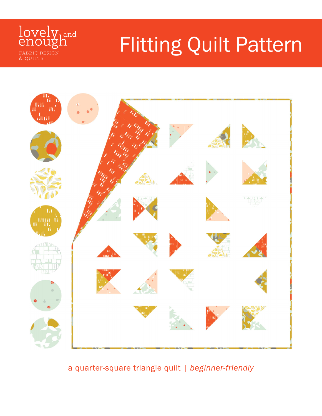

# Flitting Quilt Pattern



a quarter-square triangle quilt | beginner-friendly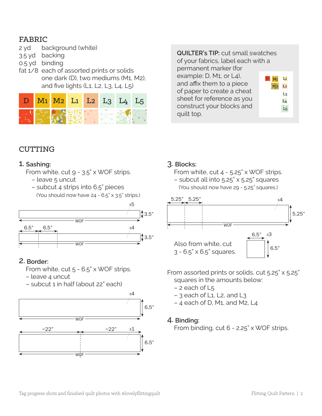## FABRIC

- 2 yd background (white)
- 3.5 yd backing
- 0.5 yd binding
- fat 1/8 each of assorted prints or solids one dark (D), two mediums (M1, M2), and five lights (L1, L2, L3, L4, L5)

|    |  |  | $M1$ $M2$ $L1$ $L2$ $L3$ $L4$ |  |
|----|--|--|-------------------------------|--|
| пv |  |  |                               |  |

#### **QUILTER's TIP:** cut small swatches

of your fabrics, label each with a permanent marker (for

example: D, M1, or L4), and affix them to a piece of paper to create a cheat sheet for reference as you construct your blocks and quilt top.

|                | L1                  |
|----------------|---------------------|
| M <sub>2</sub> | L <sub>2</sub>      |
|                | m<br>L <sub>3</sub> |
|                | L <sub>4</sub>      |
|                | L <sub>5</sub>      |
|                |                     |

# **CUTTING**

#### 1. **Sashing:**

- From white, cut 9 3.5" x WOF strips. – leave 5 uncut
	- subcut 4 strips into 6.5" pieces

(You should now have 24 - 6.5" x 3.5" strips.)



#### 2. **Border:**

 From white, cut 5 - 6.5" x WOF strips.

- leave 4 uncut
- subcut 1 in half (about 22" each)



#### 3. **Blocks:**

 From white, cut 4 - 5.25" x WOF strips. – subcut all into 5.25" x 5.25" squares (You should now have 29 - 5.25" squares.)



From assorted prints or solids, cut 5.25" x 5.25" squares in the amounts below:

- $-2$  each of  $L_5$
- $-$  3 each of L1, L2, and L3
- 4 each of D, M1, and M2, L4

#### 4. **Binding:**

 From binding, cut 6 - 2.25" x WOF strips.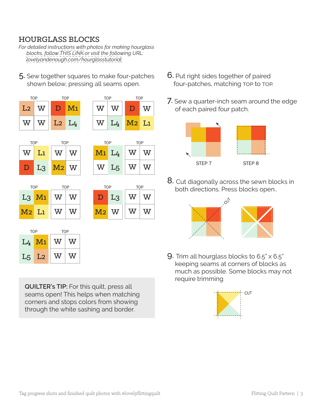# HOURGLASS BLOCKS

*For detailed instructions with photos for making hourglass blocks, follow [THIS LINK](https://www.lovelyandenough.com/blog/2017/3/hourglasstutorial%3Frq%3Dhourglass) or visit the following URL: [lovelyandenough.com/hourglasstutorial](https://www.lovelyandenough.com/blog/2017/3/hourglasstutorial%3Frq%3Dhourglass)*

5. Sew together squares to make four-patches shown below, pressing all seams open.



**QUILTER's TIP:** For this quilt, press all seams open! This helps when matching corners and stops colors from showing through the white sashing and border.

- 6. Put right sides together of paired four-patches, matching top to top.
- 7. Sew a quarter-inch seam around the edge of each paired four patch.



8. Cut diagonally across the sewn blocks in both directions. Press blocks open..



**9.** Trim all hourglass blocks to  $6.5$ " x  $6.5$ " keeping seams at corners of blocks as much as possible. Some blocks may not require trimming